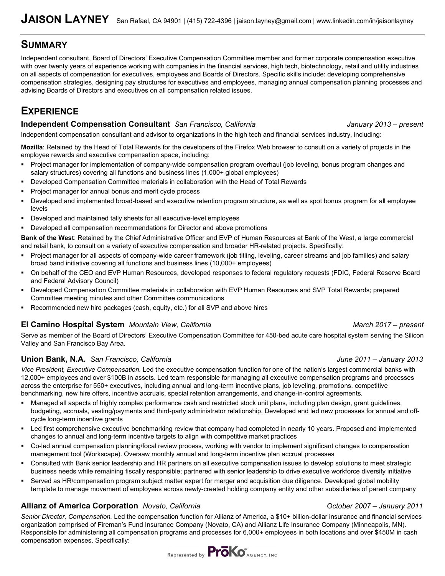## **SUMMARY**

Independent consultant, Board of Directors' Executive Compensation Committee member and former corporate compensation executive with over twenty years of experience working with companies in the financial services, high tech, biotechnology, retail and utility industries on all aspects of compensation for executives, employees and Boards of Directors. Specific skills include: developing comprehensive compensation strategies, designing pay structures for executives and employees, managing annual compensation planning processes and advising Boards of Directors and executives on all compensation related issues.

# **EXPERIENCE**

### **Independent Compensation Consultant** San Francisco, California *January 2013 – present*

Independent compensation consultant and advisor to organizations in the high tech and financial services industry, including:

**Mozilla**: Retained by the Head of Total Rewards for the developers of the Firefox Web browser to consult on a variety of projects in the employee rewards and executive compensation space, including:

- Project manager for implementation of company-wide compensation program overhaul (job leveling, bonus program changes and salary structures) covering all functions and business lines (1,000+ global employees)
- **Developed Compensation Committee materials in collaboration with the Head of Total Rewards**
- Project manager for annual bonus and merit cycle process
- Developed and implemented broad-based and executive retention program structure, as well as spot bonus program for all employee levels
- Developed and maintained tally sheets for all executive-level employees
- Developed all compensation recommendations for Director and above promotions

**Bank of the West**: Retained by the Chief Administrative Officer and EVP of Human Resources at Bank of the West, a large commercial and retail bank, to consult on a variety of executive compensation and broader HR-related projects. Specifically:

- Project manager for all aspects of company-wide career framework (job titling, leveling, career streams and job families) and salary broad band initiative covering all functions and business lines (10,000+ employees)
- On behalf of the CEO and EVP Human Resources, developed responses to federal regulatory requests (FDIC, Federal Reserve Board and Federal Advisory Council)
- Developed Compensation Committee materials in collaboration with EVP Human Resources and SVP Total Rewards; prepared Committee meeting minutes and other Committee communications
- **Recommended new hire packages (cash, equity, etc.) for all SVP and above hires**

### **El Camino Hospital System** *Mountain View, California March 2017 – present*

Serve as member of the Board of Directors' Executive Compensation Committee for 450-bed acute care hospital system serving the Silicon Valley and San Francisco Bay Area.

### **Union Bank, N.A.** *San Francisco, California June 2011 – January 2013*

*Vice President, Executive Compensation.* Led the executive compensation function for one of the nation's largest commercial banks with 12,000+ employees and over \$100B in assets. Led team responsible for managing all executive compensation programs and processes across the enterprise for 550+ executives, including annual and long-term incentive plans, job leveling, promotions, competitive benchmarking, new hire offers, incentive accruals, special retention arrangements, and change-in-control agreements.

- Managed all aspects of highly complex performance cash and restricted stock unit plans, including plan design, grant guidelines, budgeting, accruals, vesting/payments and third-party administrator relationship. Developed and led new processes for annual and offcycle long-term incentive grants
- Led first comprehensive executive benchmarking review that company had completed in nearly 10 years. Proposed and implemented changes to annual and long-term incentive targets to align with competitive market practices
- Co-led annual compensation planning/focal review process, working with vendor to implement significant changes to compensation management tool (Workscape). Oversaw monthly annual and long-term incentive plan accrual processes
- Consulted with Bank senior leadership and HR partners on all executive compensation issues to develop solutions to meet strategic business needs while remaining fiscally responsible; partnered with senior leadership to drive executive workforce diversity initiative
- Served as HR/compensation program subject matter expert for merger and acquisition due diligence. Developed global mobility template to manage movement of employees across newly-created holding company entity and other subsidiaries of parent company

### **Allianz of America Corporation** *Novato, California October 2007 – January 2011*

*Senior Director, Compensation.* Led the compensation function for Allianz of America, a \$10+ billion-dollar insurance and financial services organization comprised of Fireman's Fund Insurance Company (Novato, CA) and Allianz Life Insurance Company (Minneapolis, MN). Responsible for administering all compensation programs and processes for 6,000+ employees in both locations and over \$450M in cash compensation expenses. Specifically:

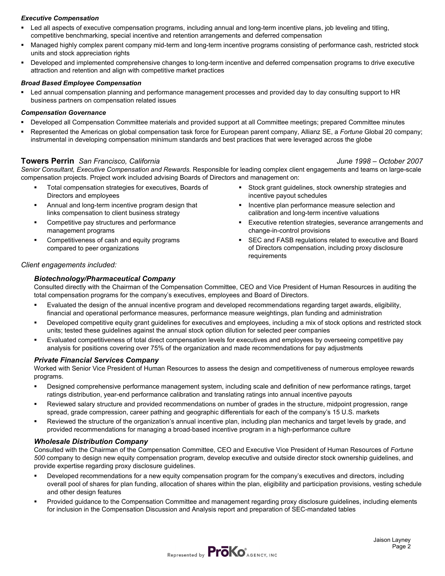#### *Executive Compensation*

- Led all aspects of executive compensation programs, including annual and long-term incentive plans, job leveling and titling, competitive benchmarking, special incentive and retention arrangements and deferred compensation
- Managed highly complex parent company mid-term and long-term incentive programs consisting of performance cash, restricted stock units and stock appreciation rights
- Developed and implemented comprehensive changes to long-term incentive and deferred compensation programs to drive executive attraction and retention and align with competitive market practices

#### *Broad Based Employee Compensation*

 Led annual compensation planning and performance management processes and provided day to day consulting support to HR business partners on compensation related issues

#### *Compensation Governance*

- Developed all Compensation Committee materials and provided support at all Committee meetings; prepared Committee minutes
- Represented the Americas on global compensation task force for European parent company, Allianz SE, a *Fortune* Global 20 company; instrumental in developing compensation minimum standards and best practices that were leveraged across the globe

#### **Towers Perrin** *San Francisco, California June 1998 – October 2007*

*Senior Consultant, Executive Compensation and Rewards.* Responsible for leading complex client engagements and teams on large-scale compensation projects. Project work included advising Boards of Directors and management on:

- Total compensation strategies for executives, Boards of Directors and employees
- **EXED:** Annual and long-term incentive program design that links compensation to client business strategy
- **•** Competitive pay structures and performance management programs
- Competitiveness of cash and equity programs compared to peer organizations
- Stock grant guidelines, stock ownership strategies and incentive payout schedules
- **Incentive plan performance measure selection and** calibration and long-term incentive valuations
- **Executive retention strategies, severance arrangements and** change-in-control provisions
- SEC and FASB regulations related to executive and Board of Directors compensation, including proxy disclosure requirements

#### *Client engagements included:*

#### *Biotechnology/Pharmaceutical Company*

Consulted directly with the Chairman of the Compensation Committee, CEO and Vice President of Human Resources in auditing the total compensation programs for the company's executives, employees and Board of Directors.

- Evaluated the design of the annual incentive program and developed recommendations regarding target awards, eligibility, financial and operational performance measures, performance measure weightings, plan funding and administration
- Developed competitive equity grant guidelines for executives and employees, including a mix of stock options and restricted stock units; tested these guidelines against the annual stock option dilution for selected peer companies
- Evaluated competitiveness of total direct compensation levels for executives and employees by overseeing competitive pay analysis for positions covering over 75% of the organization and made recommendations for pay adjustments

#### *Private Financial Services Company*

Worked with Senior Vice President of Human Resources to assess the design and competitiveness of numerous employee rewards programs.

- Designed comprehensive performance management system, including scale and definition of new performance ratings, target ratings distribution, year-end performance calibration and translating ratings into annual incentive payouts
- Reviewed salary structure and provided recommendations on number of grades in the structure, midpoint progression, range spread, grade compression, career pathing and geographic differentials for each of the company's 15 U.S. markets
- Reviewed the structure of the organization's annual incentive plan, including plan mechanics and target levels by grade, and provided recommendations for managing a broad-based incentive program in a high-performance culture

#### *Wholesale Distribution Company*

Consulted with the Chairman of the Compensation Committee, CEO and Executive Vice President of Human Resources of *Fortune 500* company to design new equity compensation program, develop executive and outside director stock ownership guidelines, and provide expertise regarding proxy disclosure guidelines.

- Developed recommendations for a new equity compensation program for the company's executives and directors, including overall pool of shares for plan funding, allocation of shares within the plan, eligibility and participation provisions, vesting schedule and other design features
- Provided guidance to the Compensation Committee and management regarding proxy disclosure guidelines, including elements for inclusion in the Compensation Discussion and Analysis report and preparation of SEC-mandated tables